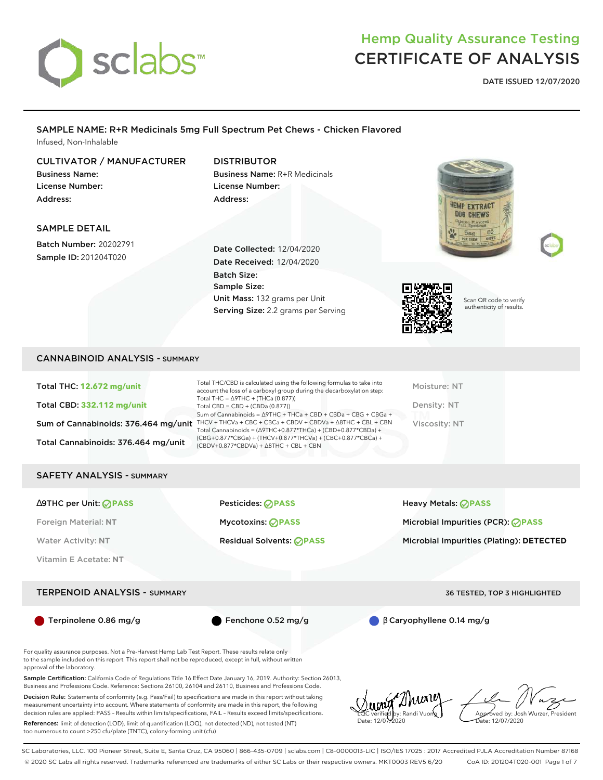

**HEMP EXTRACT** DOG CHEWS

**DATE ISSUED 12/07/2020**

### SAMPLE NAME: R+R Medicinals 5mg Full Spectrum Pet Chews - Chicken Flavored Infused, Non-Inhalable

# CULTIVATOR / MANUFACTURER

Business Name: License Number: Address:

## DISTRIBUTOR

Business Name: R+R Medicinals License Number: Address:

### SAMPLE DETAIL

Batch Number: 20202791 Sample ID: 201204T020

Date Collected: 12/04/2020 Date Received: 12/04/2020 Batch Size: Sample Size: Unit Mass: 132 grams per Unit Serving Size: 2.2 grams per Serving



Scan QR code to verify authenticity of results.

### CANNABINOID ANALYSIS - SUMMARY

Total THC: **12.672 mg/unit** Total CBD: **332.112 mg/unit** Sum of Cannabinoids: 376.464 mg/unit THCV + THCVa + CBC + CBCa + CBDV + CBDVa +  $\triangle$ 8THC + CBL + CBN Total Cannabinoids: 376.464 mg/unit Total THC/CBD is calculated using the following formulas to take into account the loss of a carboxyl group during the decarboxylation step: Total THC = ∆9THC + (THCa (0.877)) Total CBD = CBD + (CBDa (0.877)) Sum of Cannabinoids = ∆9THC + THCa + CBD + CBDa + CBG + CBGa + Total Cannabinoids = (∆9THC+0.877\*THCa) + (CBD+0.877\*CBDa) + (CBG+0.877\*CBGa) + (THCV+0.877\*THCVa) + (CBC+0.877\*CBCa) + (CBDV+0.877\*CBDVa) + ∆8THC + CBL + CBN

Moisture: NT Density: NT Viscosity: NT

### SAFETY ANALYSIS - SUMMARY

∆9THC per Unit: **PASS** Pesticides: **PASS** Heavy Metals: **PASS**

Vitamin E Acetate: **NT**

#### TERPENOID ANALYSIS - SUMMARY 36 TESTED, TOP 3 HIGHLIGHTED

Foreign Material: **NT** Mycotoxins: **PASS** Microbial Impurities (PCR): **PASS**

Water Activity: NT **Residual Solvents: <b>PASS** Microbial Impurities (Plating): DETECTED

Terpinolene 0.86 mg/g Fenchone 0.52 mg/g β Caryophyllene 0.14 mg/g

For quality assurance purposes. Not a Pre-Harvest Hemp Lab Test Report. These results relate only to the sample included on this report. This report shall not be reproduced, except in full, without written approval of the laboratory.

Sample Certification: California Code of Regulations Title 16 Effect Date January 16, 2019. Authority: Section 26013, Business and Professions Code. Reference: Sections 26100, 26104 and 26110, Business and Professions Code.

Decision Rule: Statements of conformity (e.g. Pass/Fail) to specifications are made in this report without taking measurement uncertainty into account. Where statements of conformity are made in this report, the following decision rules are applied: PASS – Results within limits/specifications, FAIL – Results exceed limits/specifications.

References: limit of detection (LOD), limit of quantification (LOQ), not detected (ND), not tested (NT) too numerous to count >250 cfu/plate (TNTC), colony-forming unit (cfu)

LQC verified by: Randi Vuong Date: 12/07/2020

Approved by: Josh Wurzer, President ate: 12/07/2020

SC Laboratories, LLC. 100 Pioneer Street, Suite E, Santa Cruz, CA 95060 | 866-435-0709 | sclabs.com | C8-0000013-LIC | ISO/IES 17025 : 2017 Accredited PJLA Accreditation Number 87168 © 2020 SC Labs all rights reserved. Trademarks referenced are trademarks of either SC Labs or their respective owners. MKT0003 REV5 6/20 CoA ID: 201204T020-001 Page 1 of 7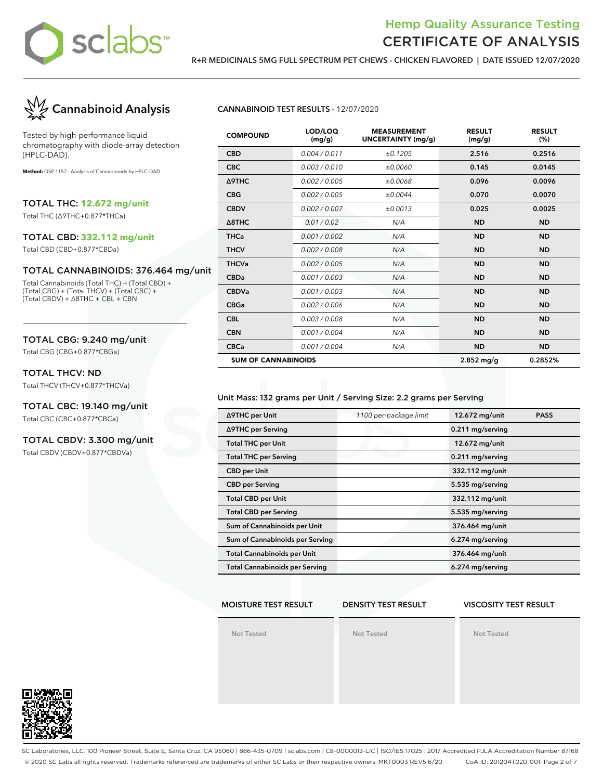

**R+R MEDICINALS 5MG FULL SPECTRUM PET CHEWS - CHICKEN FLAVORED | DATE ISSUED 12/07/2020**



Tested by high-performance liquid chromatography with diode-array detection (HPLC-DAD).

**Method:** QSP 1157 - Analysis of Cannabinoids by HPLC-DAD

TOTAL THC: **12.672 mg/unit**

Total THC (∆9THC+0.877\*THCa)

#### TOTAL CBD: **332.112 mg/unit**

Total CBD (CBD+0.877\*CBDa)

#### TOTAL CANNABINOIDS: 376.464 mg/unit

Total Cannabinoids (Total THC) + (Total CBD) + (Total CBG) + (Total THCV) + (Total CBC) + (Total CBDV) + ∆8THC + CBL + CBN

### TOTAL CBG: 9.240 mg/unit

Total CBG (CBG+0.877\*CBGa)

#### TOTAL THCV: ND

Total THCV (THCV+0.877\*THCVa)

# TOTAL CBC: 19.140 mg/unit

Total CBC (CBC+0.877\*CBCa)

### TOTAL CBDV: 3.300 mg/unit

Total CBDV (CBDV+0.877\*CBDVa)

#### **CANNABINOID TEST RESULTS -** 12/07/2020

| <b>COMPOUND</b>            | LOD/LOQ<br>(mg/g) | <b>MEASUREMENT</b><br><b>UNCERTAINTY (mg/g)</b> | <b>RESULT</b><br>(mg/g) | <b>RESULT</b><br>(%) |
|----------------------------|-------------------|-------------------------------------------------|-------------------------|----------------------|
| <b>CBD</b>                 | 0.004 / 0.011     | ±0.1205                                         | 2.516                   | 0.2516               |
| <b>CBC</b>                 | 0.003/0.010       | ±0.0060                                         | 0.145                   | 0.0145               |
| Δ9THC                      | 0.002 / 0.005     | ±0.0068                                         | 0.096                   | 0.0096               |
| <b>CBG</b>                 | 0.002 / 0.005     | ±0.0044                                         | 0.070                   | 0.0070               |
| <b>CBDV</b>                | 0.002 / 0.007     | ±0.0013                                         | 0.025                   | 0.0025               |
| $\triangle$ 8THC           | 0.01 / 0.02       | N/A                                             | <b>ND</b>               | <b>ND</b>            |
| <b>THCa</b>                | 0.001 / 0.002     | N/A                                             | <b>ND</b>               | <b>ND</b>            |
| <b>THCV</b>                | 0.002 / 0.008     | N/A                                             | <b>ND</b>               | <b>ND</b>            |
| <b>THCVa</b>               | 0.002 / 0.005     | N/A                                             | <b>ND</b>               | <b>ND</b>            |
| <b>CBDa</b>                | 0.001/0.003       | N/A                                             | <b>ND</b>               | <b>ND</b>            |
| <b>CBDVa</b>               | 0.001 / 0.003     | N/A                                             | <b>ND</b>               | <b>ND</b>            |
| <b>CBGa</b>                | 0.002 / 0.006     | N/A                                             | <b>ND</b>               | <b>ND</b>            |
| <b>CBL</b>                 | 0.003 / 0.008     | N/A                                             | <b>ND</b>               | <b>ND</b>            |
| <b>CBN</b>                 | 0.001 / 0.004     | N/A                                             | <b>ND</b>               | <b>ND</b>            |
| <b>CBCa</b>                | 0.001 / 0.004     | N/A                                             | <b>ND</b>               | <b>ND</b>            |
| <b>SUM OF CANNABINOIDS</b> |                   |                                                 | $2.852$ mg/g            | 0.2852%              |

#### Unit Mass: 132 grams per Unit / Serving Size: 2.2 grams per Serving

| ∆9THC per Unit                        | 1100 per-package limit | 12.672 mg/unit<br><b>PASS</b> |  |
|---------------------------------------|------------------------|-------------------------------|--|
| ∆9THC per Serving                     |                        | 0.211 mg/serving              |  |
| <b>Total THC per Unit</b>             |                        | 12.672 mg/unit                |  |
| <b>Total THC per Serving</b>          |                        | 0.211 mg/serving              |  |
| <b>CBD</b> per Unit                   |                        | 332.112 mg/unit               |  |
| <b>CBD per Serving</b>                |                        | 5.535 mg/serving              |  |
| <b>Total CBD per Unit</b>             |                        | 332.112 mg/unit               |  |
| <b>Total CBD per Serving</b>          |                        | 5.535 mg/serving              |  |
| Sum of Cannabinoids per Unit          |                        | 376.464 mg/unit               |  |
| Sum of Cannabinoids per Serving       |                        | 6.274 mg/serving              |  |
| <b>Total Cannabinoids per Unit</b>    |                        | 376.464 mg/unit               |  |
| <b>Total Cannabinoids per Serving</b> |                        | 6.274 mg/serving              |  |

#### **MOISTURE TEST RESULT**

#### **DENSITY TEST RESULT**

#### **VISCOSITY TEST RESULT**

**Not Tested**

**Not Tested**

**Not Tested**



SC Laboratories, LLC. 100 Pioneer Street, Suite E, Santa Cruz, CA 95060 | 866-435-0709 | sclabs.com | C8-0000013-LIC | ISO/IES 17025 : 2017 Accredited PJLA Accreditation Number 87168 © 2020 SC Labs all rights reserved. Trademarks referenced are trademarks of either SC Labs or their respective owners. MKT0003 REV5 6/20 CoA ID: 201204T020-001 Page 2 of 7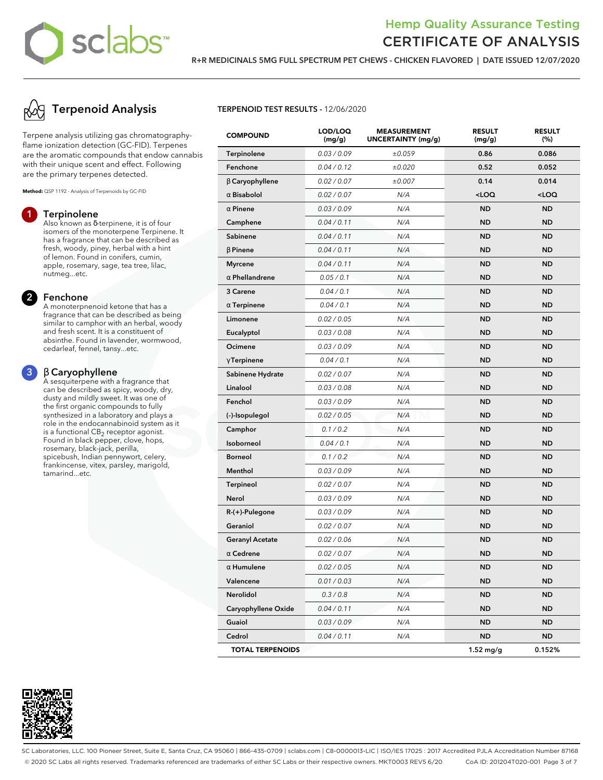

**R+R MEDICINALS 5MG FULL SPECTRUM PET CHEWS - CHICKEN FLAVORED | DATE ISSUED 12/07/2020**

# **Terpenoid Analysis**

Terpene analysis utilizing gas chromatographyflame ionization detection (GC-FID). Terpenes are the aromatic compounds that endow cannabis with their unique scent and effect. Following are the primary terpenes detected.

**Method:** QSP 1192 - Analysis of Terpenoids by GC-FID

#### **1 Terpinolene**

Also known as δ-terpinene, it is of four isomers of the monoterpene Terpinene. It has a fragrance that can be described as fresh, woody, piney, herbal with a hint of lemon. Found in conifers, cumin, apple, rosemary, sage, tea tree, lilac, nutmeg...etc.

#### **2 Fenchone**

A monoterpnenoid ketone that has a fragrance that can be described as being similar to camphor with an herbal, woody and fresh scent. It is a constituent of absinthe. Found in lavender, wormwood, cedarleaf, fennel, tansy...etc.

### **3** β **Caryophyllene**

A sesquiterpene with a fragrance that can be described as spicy, woody, dry, dusty and mildly sweet. It was one of the first organic compounds to fully synthesized in a laboratory and plays a role in the endocannabinoid system as it is a functional  $\mathsf{CB}_2$  receptor agonist. Found in black pepper, clove, hops, rosemary, black-jack, perilla, spicebush, Indian pennywort, celery, frankincense, vitex, parsley, marigold, tamarind...etc.



### **TERPENOID TEST RESULTS -** 12/06/2020

| <b>COMPOUND</b>         | LOD/LOQ<br>(mg/g) | <b>MEASUREMENT</b><br><b>UNCERTAINTY (mg/g)</b> | <b>RESULT</b><br>(mg/g) | <b>RESULT</b><br>(%) |
|-------------------------|-------------------|-------------------------------------------------|-------------------------|----------------------|
| <b>Terpinolene</b>      | 0.03 / 0.09       | ±0.059                                          | 0.86                    | 0.086                |
| Fenchone                | 0.04 / 0.12       | ±0.020                                          | 0.52                    | 0.052                |
| $\beta$ Caryophyllene   | 0.02 / 0.07       | ±0.007                                          | 0.14                    | 0.014                |
| $\alpha$ Bisabolol      | 0.02 / 0.07       | N/A                                             | $<$ LOQ                 | $<$ LOQ              |
| $\alpha$ Pinene         | 0.03 / 0.09       | N/A                                             | <b>ND</b>               | <b>ND</b>            |
| Camphene                | 0.04 / 0.11       | N/A                                             | <b>ND</b>               | <b>ND</b>            |
| Sabinene                | 0.04 / 0.11       | N/A                                             | <b>ND</b>               | <b>ND</b>            |
| $\beta$ Pinene          | 0.04 / 0.11       | N/A                                             | <b>ND</b>               | <b>ND</b>            |
| <b>Myrcene</b>          | 0.04 / 0.11       | N/A                                             | <b>ND</b>               | <b>ND</b>            |
| $\alpha$ Phellandrene   | 0.05 / 0.1        | N/A                                             | <b>ND</b>               | <b>ND</b>            |
| 3 Carene                | 0.04 / 0.1        | N/A                                             | <b>ND</b>               | <b>ND</b>            |
| $\alpha$ Terpinene      | 0.04 / 0.1        | N/A                                             | <b>ND</b>               | <b>ND</b>            |
| Limonene                | 0.02 / 0.05       | N/A                                             | <b>ND</b>               | <b>ND</b>            |
| Eucalyptol              | 0.03 / 0.08       | N/A                                             | <b>ND</b>               | <b>ND</b>            |
| Ocimene                 | 0.03 / 0.09       | N/A                                             | <b>ND</b>               | <b>ND</b>            |
| $\gamma$ Terpinene      | 0.04 / 0.1        | N/A                                             | <b>ND</b>               | <b>ND</b>            |
| Sabinene Hydrate        | 0.02 / 0.07       | N/A                                             | <b>ND</b>               | <b>ND</b>            |
| Linalool                | 0.03 / 0.08       | N/A                                             | <b>ND</b>               | <b>ND</b>            |
| Fenchol                 | 0.03 / 0.09       | N/A                                             | <b>ND</b>               | <b>ND</b>            |
| (-)-Isopulegol          | 0.02 / 0.05       | N/A                                             | <b>ND</b>               | <b>ND</b>            |
| Camphor                 | 0.1 / 0.2         | N/A                                             | <b>ND</b>               | <b>ND</b>            |
| Isoborneol              | 0.04 / 0.1        | N/A                                             | <b>ND</b>               | <b>ND</b>            |
| <b>Borneol</b>          | 0.1 / 0.2         | N/A                                             | <b>ND</b>               | <b>ND</b>            |
| Menthol                 | 0.03 / 0.09       | N/A                                             | <b>ND</b>               | <b>ND</b>            |
| <b>Terpineol</b>        | 0.02 / 0.07       | N/A                                             | <b>ND</b>               | <b>ND</b>            |
| Nerol                   | 0.03 / 0.09       | N/A                                             | <b>ND</b>               | <b>ND</b>            |
| R-(+)-Pulegone          | 0.03 / 0.09       | N/A                                             | <b>ND</b>               | <b>ND</b>            |
| Geraniol                | 0.02 / 0.07       | N/A                                             | <b>ND</b>               | <b>ND</b>            |
| <b>Geranyl Acetate</b>  | 0.02 / 0.06       | N/A                                             | <b>ND</b>               | <b>ND</b>            |
| $\alpha$ Cedrene        | 0.02 / 0.07       | N/A                                             | <b>ND</b>               | <b>ND</b>            |
| $\alpha$ Humulene       | 0.02 / 0.05       | N/A                                             | <b>ND</b>               | <b>ND</b>            |
| Valencene               | 0.01 / 0.03       | N/A                                             | ND                      | <b>ND</b>            |
| <b>Nerolidol</b>        | 0.3 / 0.8         | N/A                                             | <b>ND</b>               | <b>ND</b>            |
| Caryophyllene Oxide     | 0.04 / 0.11       | N/A                                             | <b>ND</b>               | <b>ND</b>            |
| Guaiol                  | 0.03 / 0.09       | N/A                                             | ND                      | ND                   |
| Cedrol                  | 0.04 / 0.11       | N/A                                             | ND                      | <b>ND</b>            |
| <b>TOTAL TERPENOIDS</b> |                   |                                                 | $1.52$ mg/g             | 0.152%               |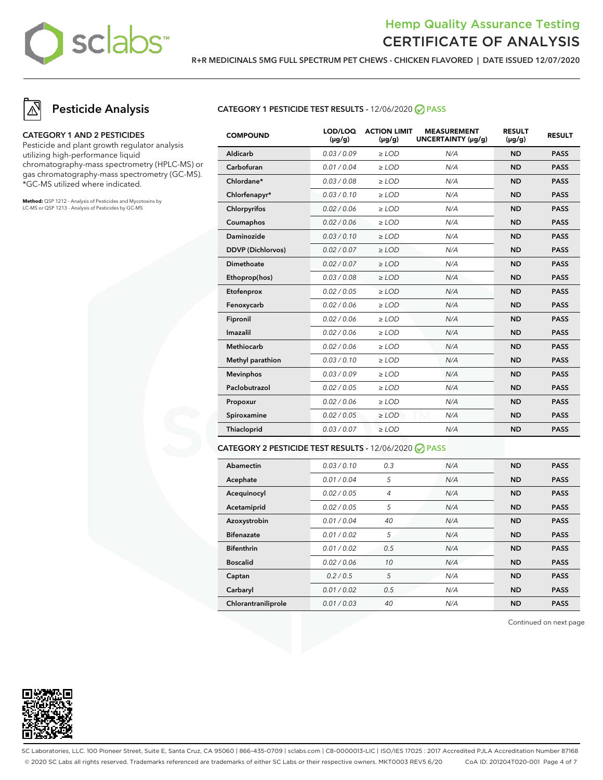

**R+R MEDICINALS 5MG FULL SPECTRUM PET CHEWS - CHICKEN FLAVORED | DATE ISSUED 12/07/2020**

# **Pesticide Analysis**

#### **CATEGORY 1 AND 2 PESTICIDES**

Pesticide and plant growth regulator analysis utilizing high-performance liquid chromatography-mass spectrometry (HPLC-MS) or gas chromatography-mass spectrometry (GC-MS). \*GC-MS utilized where indicated.

**Method:** QSP 1212 - Analysis of Pesticides and Mycotoxins by LC-MS or QSP 1213 - Analysis of Pesticides by GC-MS

#### **CATEGORY 1 PESTICIDE TEST RESULTS -** 12/06/2020 **PASS**

| <b>COMPOUND</b>          | LOD/LOQ<br>$(\mu g/g)$ | <b>ACTION LIMIT</b><br>$(\mu q/q)$ | <b>MEASUREMENT</b><br>UNCERTAINTY (µq/q) | <b>RESULT</b><br>$(\mu g/g)$ | <b>RESULT</b> |
|--------------------------|------------------------|------------------------------------|------------------------------------------|------------------------------|---------------|
| Aldicarb                 | 0.03/0.09              | $>$ LOD                            | N/A                                      | <b>ND</b>                    | <b>PASS</b>   |
| Carbofuran               | 0.01 / 0.04            | $\ge$ LOD                          | N/A                                      | <b>ND</b>                    | <b>PASS</b>   |
| Chlordane*               | 0.03 / 0.08            | $\ge$ LOD                          | N/A                                      | <b>ND</b>                    | <b>PASS</b>   |
| Chlorfenapyr*            | 0.03/0.10              | $\ge$ LOD                          | N/A                                      | <b>ND</b>                    | <b>PASS</b>   |
| Chlorpyrifos             | 0.02 / 0.06            | $\ge$ LOD                          | N/A                                      | <b>ND</b>                    | <b>PASS</b>   |
| Coumaphos                | 0.02 / 0.06            | $\ge$ LOD                          | N/A                                      | <b>ND</b>                    | <b>PASS</b>   |
| Daminozide               | 0.03/0.10              | $>$ LOD                            | N/A                                      | <b>ND</b>                    | <b>PASS</b>   |
| <b>DDVP</b> (Dichlorvos) | 0.02 / 0.07            | $\ge$ LOD                          | N/A                                      | <b>ND</b>                    | <b>PASS</b>   |
| <b>Dimethoate</b>        | 0.02 / 0.07            | $\ge$ LOD                          | N/A                                      | <b>ND</b>                    | <b>PASS</b>   |
| Ethoprop(hos)            | 0.03 / 0.08            | $\ge$ LOD                          | N/A                                      | <b>ND</b>                    | <b>PASS</b>   |
| Etofenprox               | 0.02 / 0.05            | $\ge$ LOD                          | N/A                                      | <b>ND</b>                    | <b>PASS</b>   |
| Fenoxycarb               | 0.02 / 0.06            | $\ge$ LOD                          | N/A                                      | <b>ND</b>                    | <b>PASS</b>   |
| Fipronil                 | 0.02 / 0.06            | $\ge$ LOD                          | N/A                                      | <b>ND</b>                    | <b>PASS</b>   |
| Imazalil                 | 0.02 / 0.06            | $>$ LOD                            | N/A                                      | <b>ND</b>                    | <b>PASS</b>   |
| <b>Methiocarb</b>        | 0.02 / 0.06            | $>$ LOD                            | N/A                                      | <b>ND</b>                    | <b>PASS</b>   |
| Methyl parathion         | 0.03/0.10              | $\ge$ LOD                          | N/A                                      | <b>ND</b>                    | <b>PASS</b>   |
| <b>Mevinphos</b>         | 0.03/0.09              | $\ge$ LOD                          | N/A                                      | <b>ND</b>                    | <b>PASS</b>   |
| Paclobutrazol            | 0.02 / 0.05            | $\ge$ LOD                          | N/A                                      | <b>ND</b>                    | <b>PASS</b>   |
| Propoxur                 | 0.02 / 0.06            | $\ge$ LOD                          | N/A                                      | <b>ND</b>                    | <b>PASS</b>   |
| Spiroxamine              | 0.02 / 0.05            | $\ge$ LOD                          | N/A                                      | <b>ND</b>                    | <b>PASS</b>   |
| Thiacloprid              | 0.03 / 0.07            | $\ge$ LOD                          | N/A                                      | <b>ND</b>                    | <b>PASS</b>   |
|                          |                        |                                    |                                          |                              |               |

#### **CATEGORY 2 PESTICIDE TEST RESULTS -** 12/06/2020 **PASS**

| Abamectin           | 0.03/0.10   | 0.3            | N/A | <b>ND</b> | <b>PASS</b> |
|---------------------|-------------|----------------|-----|-----------|-------------|
| Acephate            | 0.01 / 0.04 | 5              | N/A | <b>ND</b> | <b>PASS</b> |
| Acequinocyl         | 0.02 / 0.05 | $\overline{4}$ | N/A | <b>ND</b> | <b>PASS</b> |
| Acetamiprid         | 0.02 / 0.05 | 5              | N/A | <b>ND</b> | <b>PASS</b> |
| Azoxystrobin        | 0.01 / 0.04 | 40             | N/A | <b>ND</b> | <b>PASS</b> |
| <b>Bifenazate</b>   | 0.01/0.02   | 5              | N/A | <b>ND</b> | <b>PASS</b> |
| <b>Bifenthrin</b>   | 0.01 / 0.02 | 0.5            | N/A | <b>ND</b> | <b>PASS</b> |
| <b>Boscalid</b>     | 0.02 / 0.06 | 10             | N/A | <b>ND</b> | <b>PASS</b> |
| Captan              | 0.2/0.5     | 5              | N/A | <b>ND</b> | <b>PASS</b> |
| Carbaryl            | 0.01 / 0.02 | 0.5            | N/A | <b>ND</b> | <b>PASS</b> |
| Chlorantraniliprole | 0.01/0.03   | 40             | N/A | <b>ND</b> | <b>PASS</b> |

Continued on next page



SC Laboratories, LLC. 100 Pioneer Street, Suite E, Santa Cruz, CA 95060 | 866-435-0709 | sclabs.com | C8-0000013-LIC | ISO/IES 17025 : 2017 Accredited PJLA Accreditation Number 87168 © 2020 SC Labs all rights reserved. Trademarks referenced are trademarks of either SC Labs or their respective owners. MKT0003 REV5 6/20 CoA ID: 201204T020-001 Page 4 of 7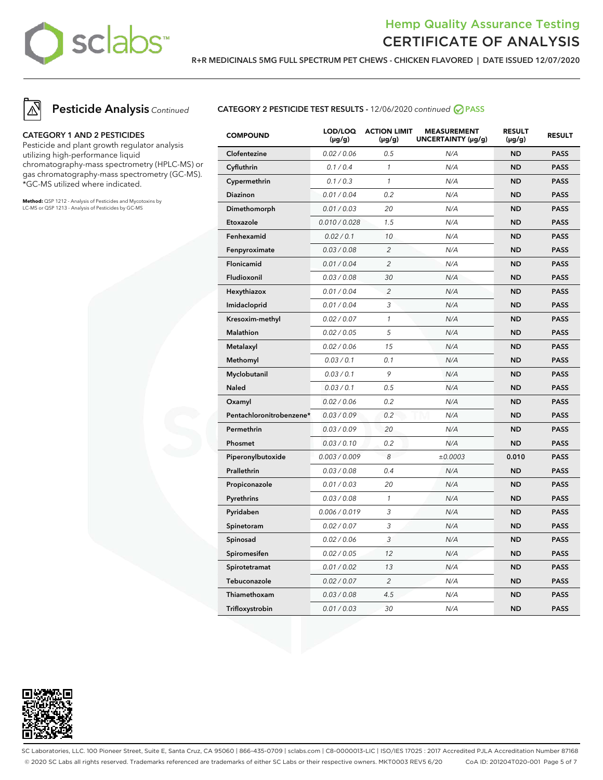

**R+R MEDICINALS 5MG FULL SPECTRUM PET CHEWS - CHICKEN FLAVORED | DATE ISSUED 12/07/2020**



**Pesticide Analysis** Continued

#### **CATEGORY 1 AND 2 PESTICIDES**

Pesticide and plant growth regulator analysis utilizing high-performance liquid chromatography-mass spectrometry (HPLC-MS) or gas chromatography-mass spectrometry (GC-MS). \*GC-MS utilized where indicated.

**Method:** QSP 1212 - Analysis of Pesticides and Mycotoxins by LC-MS or QSP 1213 - Analysis of Pesticides by GC-MS

### **CATEGORY 2 PESTICIDE TEST RESULTS -** 12/06/2020 continued **PASS**

| <b>COMPOUND</b>          | LOD/LOQ<br>$(\mu g/g)$ | <b>ACTION LIMIT</b><br>$(\mu g/g)$ | <b>MEASUREMENT</b><br>UNCERTAINTY (µg/g) | <b>RESULT</b><br>$(\mu g/g)$ | <b>RESULT</b> |
|--------------------------|------------------------|------------------------------------|------------------------------------------|------------------------------|---------------|
| Clofentezine             | 0.02 / 0.06            | 0.5                                | N/A                                      | <b>ND</b>                    | <b>PASS</b>   |
| Cyfluthrin               | 0.1 / 0.4              | $\mathbf{1}$                       | N/A                                      | <b>ND</b>                    | <b>PASS</b>   |
| Cypermethrin             | 0.1 / 0.3              | $\mathcal{I}$                      | N/A                                      | <b>ND</b>                    | <b>PASS</b>   |
| Diazinon                 | 0.01 / 0.04            | 0.2                                | N/A                                      | <b>ND</b>                    | <b>PASS</b>   |
| Dimethomorph             | 0.01 / 0.03            | 20                                 | N/A                                      | <b>ND</b>                    | <b>PASS</b>   |
| Etoxazole                | 0.010 / 0.028          | 1.5                                | N/A                                      | <b>ND</b>                    | <b>PASS</b>   |
| Fenhexamid               | 0.02 / 0.1             | 10                                 | N/A                                      | <b>ND</b>                    | <b>PASS</b>   |
| Fenpyroximate            | 0.03 / 0.08            | $\overline{2}$                     | N/A                                      | <b>ND</b>                    | <b>PASS</b>   |
| Flonicamid               | 0.01 / 0.04            | $\overline{c}$                     | N/A                                      | ND                           | <b>PASS</b>   |
| Fludioxonil              | 0.03 / 0.08            | 30                                 | N/A                                      | ND                           | <b>PASS</b>   |
| Hexythiazox              | 0.01 / 0.04            | $\overline{c}$                     | N/A                                      | <b>ND</b>                    | <b>PASS</b>   |
| Imidacloprid             | 0.01 / 0.04            | 3                                  | N/A                                      | <b>ND</b>                    | <b>PASS</b>   |
| Kresoxim-methyl          | 0.02 / 0.07            | $\mathcal{I}$                      | N/A                                      | <b>ND</b>                    | <b>PASS</b>   |
| <b>Malathion</b>         | 0.02 / 0.05            | 5                                  | N/A                                      | <b>ND</b>                    | <b>PASS</b>   |
| Metalaxyl                | 0.02 / 0.06            | 15                                 | N/A                                      | <b>ND</b>                    | <b>PASS</b>   |
| Methomyl                 | 0.03 / 0.1             | 0.1                                | N/A                                      | <b>ND</b>                    | <b>PASS</b>   |
| Myclobutanil             | 0.03 / 0.1             | 9                                  | N/A                                      | <b>ND</b>                    | <b>PASS</b>   |
| <b>Naled</b>             | 0.03 / 0.1             | 0.5                                | N/A                                      | <b>ND</b>                    | <b>PASS</b>   |
| Oxamyl                   | 0.02 / 0.06            | 0.2                                | N/A                                      | <b>ND</b>                    | <b>PASS</b>   |
| Pentachloronitrobenzene* | 0.03 / 0.09            | 0.2                                | N/A                                      | <b>ND</b>                    | <b>PASS</b>   |
| Permethrin               | 0.03 / 0.09            | 20                                 | N/A                                      | <b>ND</b>                    | <b>PASS</b>   |
| Phosmet                  | 0.03 / 0.10            | 0.2                                | N/A                                      | <b>ND</b>                    | <b>PASS</b>   |
| Piperonylbutoxide        | 0.003 / 0.009          | 8                                  | ±0.0003                                  | 0.010                        | <b>PASS</b>   |
| Prallethrin              | 0.03 / 0.08            | 0.4                                | N/A                                      | <b>ND</b>                    | <b>PASS</b>   |
| Propiconazole            | 0.01 / 0.03            | 20                                 | N/A                                      | <b>ND</b>                    | <b>PASS</b>   |
| Pyrethrins               | 0.03 / 0.08            | $\mathcal{I}$                      | N/A                                      | ND                           | <b>PASS</b>   |
| Pyridaben                | 0.006 / 0.019          | 3                                  | N/A                                      | <b>ND</b>                    | <b>PASS</b>   |
| Spinetoram               | 0.02 / 0.07            | 3                                  | N/A                                      | <b>ND</b>                    | <b>PASS</b>   |
| Spinosad                 | 0.02 / 0.06            | 3                                  | N/A                                      | <b>ND</b>                    | <b>PASS</b>   |
| Spiromesifen             | 0.02 / 0.05            | 12                                 | N/A                                      | <b>ND</b>                    | <b>PASS</b>   |
| Spirotetramat            | 0.01 / 0.02            | 13                                 | N/A                                      | <b>ND</b>                    | <b>PASS</b>   |
| Tebuconazole             | 0.02 / 0.07            | $\overline{c}$                     | N/A                                      | <b>ND</b>                    | <b>PASS</b>   |
| Thiamethoxam             | 0.03 / 0.08            | 4.5                                | N/A                                      | <b>ND</b>                    | <b>PASS</b>   |
| Trifloxystrobin          | 0.01 / 0.03            | 30                                 | N/A                                      | <b>ND</b>                    | <b>PASS</b>   |



SC Laboratories, LLC. 100 Pioneer Street, Suite E, Santa Cruz, CA 95060 | 866-435-0709 | sclabs.com | C8-0000013-LIC | ISO/IES 17025 : 2017 Accredited PJLA Accreditation Number 87168 © 2020 SC Labs all rights reserved. Trademarks referenced are trademarks of either SC Labs or their respective owners. MKT0003 REV5 6/20 CoA ID: 201204T020-001 Page 5 of 7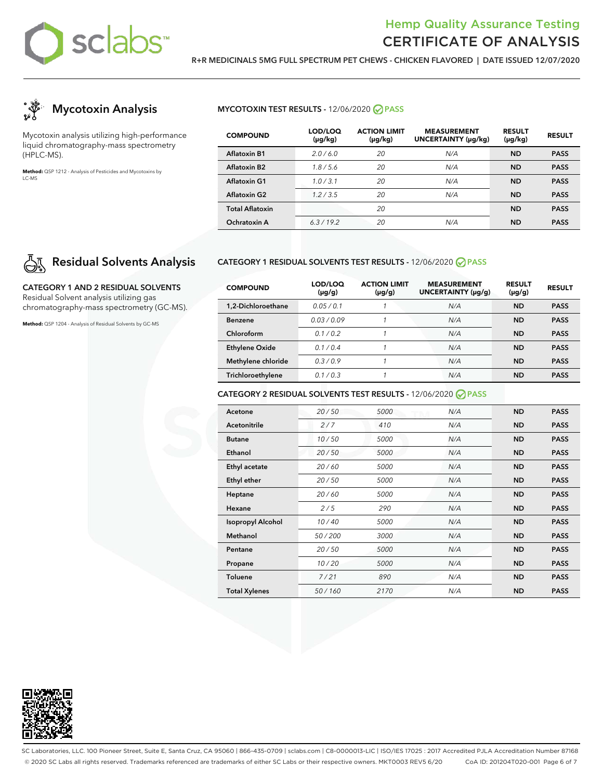

**R+R MEDICINALS 5MG FULL SPECTRUM PET CHEWS - CHICKEN FLAVORED | DATE ISSUED 12/07/2020**



Mycotoxin analysis utilizing high-performance liquid chromatography-mass spectrometry (HPLC-MS).

**Method:** QSP 1212 - Analysis of Pesticides and Mycotoxins by LC-MS

### **MYCOTOXIN TEST RESULTS -** 12/06/2020 **PASS**

| <b>COMPOUND</b>          | LOD/LOQ<br>(µg/kg) | <b>ACTION LIMIT</b><br>$(\mu g/kg)$ | <b>MEASUREMENT</b><br><b>UNCERTAINTY (µq/kq)</b> | <b>RESULT</b><br>$(\mu g/kg)$ | <b>RESULT</b> |
|--------------------------|--------------------|-------------------------------------|--------------------------------------------------|-------------------------------|---------------|
| <b>Aflatoxin B1</b>      | 2.0/6.0            | 20                                  | N/A                                              | <b>ND</b>                     | <b>PASS</b>   |
| Aflatoxin B <sub>2</sub> | 1.8/5.6            | 20                                  | N/A                                              | <b>ND</b>                     | <b>PASS</b>   |
| Aflatoxin G1             | 1.0/3.1            | 20                                  | N/A                                              | <b>ND</b>                     | <b>PASS</b>   |
| <b>Aflatoxin G2</b>      | 1.2/3.5            | 20                                  | N/A                                              | <b>ND</b>                     | <b>PASS</b>   |
| <b>Total Aflatoxin</b>   |                    | 20                                  |                                                  | <b>ND</b>                     | <b>PASS</b>   |
| Ochratoxin A             | 6.3/19.2           | 20                                  | N/A                                              | ND                            | <b>PASS</b>   |

# **Residual Solvents Analysis**

**CATEGORY 1 AND 2 RESIDUAL SOLVENTS** Residual Solvent analysis utilizing gas chromatography-mass spectrometry (GC-MS).

**Method:** QSP 1204 - Analysis of Residual Solvents by GC-MS

### **CATEGORY 1 RESIDUAL SOLVENTS TEST RESULTS -** 12/06/2020 **PASS**

| <b>COMPOUND</b>       | LOD/LOQ<br>$(\mu g/g)$ | <b>ACTION LIMIT</b><br>(µg/g) | <b>MEASUREMENT</b><br>UNCERTAINTY (µg/g) | <b>RESULT</b><br>$(\mu g/g)$ | <b>RESULT</b> |
|-----------------------|------------------------|-------------------------------|------------------------------------------|------------------------------|---------------|
| 1.2-Dichloroethane    | 0.05/0.1               |                               | N/A                                      | <b>ND</b>                    | <b>PASS</b>   |
| <b>Benzene</b>        | 0.03/0.09              | 1                             | N/A                                      | ND                           | <b>PASS</b>   |
| Chloroform            | 0.1/0.2                | 1                             | N/A                                      | <b>ND</b>                    | <b>PASS</b>   |
| <b>Ethylene Oxide</b> | 0.1/0.4                | 1                             | N/A                                      | <b>ND</b>                    | <b>PASS</b>   |
| Methylene chloride    | 0.3/0.9                | 1                             | N/A                                      | <b>ND</b>                    | <b>PASS</b>   |
| Trichloroethylene     | 0.1/0.3                | 1                             | N/A                                      | <b>ND</b>                    | <b>PASS</b>   |

### **CATEGORY 2 RESIDUAL SOLVENTS TEST RESULTS -** 12/06/2020 **PASS**

| Acetone                  | 20/50  | 5000 | N/A | <b>ND</b> | <b>PASS</b> |
|--------------------------|--------|------|-----|-----------|-------------|
| Acetonitrile             | 2/7    | 410  | N/A | <b>ND</b> | <b>PASS</b> |
| <b>Butane</b>            | 10/50  | 5000 | N/A | <b>ND</b> | <b>PASS</b> |
| Ethanol                  | 20/50  | 5000 | N/A | <b>ND</b> | <b>PASS</b> |
| Ethyl acetate            | 20/60  | 5000 | N/A | <b>ND</b> | <b>PASS</b> |
| <b>Ethyl ether</b>       | 20/50  | 5000 | N/A | <b>ND</b> | <b>PASS</b> |
| Heptane                  | 20/60  | 5000 | N/A | <b>ND</b> | <b>PASS</b> |
| Hexane                   | 2/5    | 290  | N/A | <b>ND</b> | <b>PASS</b> |
| <b>Isopropyl Alcohol</b> | 10/40  | 5000 | N/A | <b>ND</b> | <b>PASS</b> |
| Methanol                 | 50/200 | 3000 | N/A | <b>ND</b> | <b>PASS</b> |
| Pentane                  | 20/50  | 5000 | N/A | <b>ND</b> | <b>PASS</b> |
| Propane                  | 10/20  | 5000 | N/A | <b>ND</b> | <b>PASS</b> |
| <b>Toluene</b>           | 7/21   | 890  | N/A | <b>ND</b> | <b>PASS</b> |
| <b>Total Xylenes</b>     | 50/160 | 2170 | N/A | <b>ND</b> | <b>PASS</b> |



SC Laboratories, LLC. 100 Pioneer Street, Suite E, Santa Cruz, CA 95060 | 866-435-0709 | sclabs.com | C8-0000013-LIC | ISO/IES 17025 : 2017 Accredited PJLA Accreditation Number 87168 © 2020 SC Labs all rights reserved. Trademarks referenced are trademarks of either SC Labs or their respective owners. MKT0003 REV5 6/20 CoA ID: 201204T020-001 Page 6 of 7